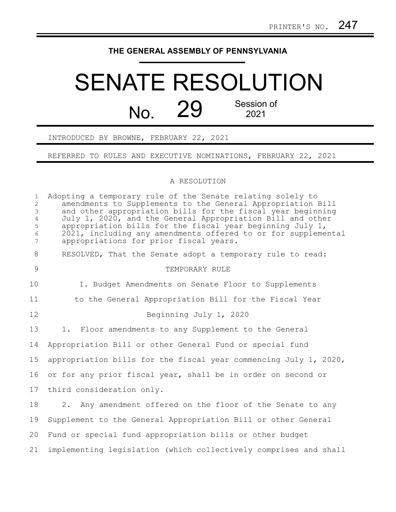## **THE GENERAL ASSEMBLY OF PENNSYLVANIA**

## SENATE RESOLUTION No. 29 Session of 2021

INTRODUCED BY BROWNE, FEBRUARY 22, 2021

REFERRED TO RULES AND EXECUTIVE NOMINATIONS, FEBRUARY 22, 2021

## A RESOLUTION

| $\mathbf{1}$<br>$\overline{2}$<br>$\mathfrak{Z}$<br>$\overline{4}$<br>$\mathsf S$<br>$\epsilon$<br>$\overline{7}$ | Adopting a temporary rule of the Senate relating solely to<br>amendments to Supplements to the General Appropriation Bill<br>and other appropriation bills for the fiscal year beginning<br>July 1, 2020, and the General Appropriation Bill and other<br>appropriation bills for the fiscal year beginning July 1,<br>2021, including any amendments offered to or for supplemental<br>appropriations for prior fiscal years. |
|-------------------------------------------------------------------------------------------------------------------|--------------------------------------------------------------------------------------------------------------------------------------------------------------------------------------------------------------------------------------------------------------------------------------------------------------------------------------------------------------------------------------------------------------------------------|
| $8\,$                                                                                                             | RESOLVED, That the Senate adopt a temporary rule to read:                                                                                                                                                                                                                                                                                                                                                                      |
| $\mathcal{G}$                                                                                                     | TEMPORARY RULE                                                                                                                                                                                                                                                                                                                                                                                                                 |
| 10                                                                                                                | I. Budget Amendments on Senate Floor to Supplements                                                                                                                                                                                                                                                                                                                                                                            |
| 11                                                                                                                | to the General Appropriation Bill for the Fiscal Year                                                                                                                                                                                                                                                                                                                                                                          |
| 12                                                                                                                | Beginning July 1, 2020                                                                                                                                                                                                                                                                                                                                                                                                         |
| 13                                                                                                                | 1. Floor amendments to any Supplement to the General                                                                                                                                                                                                                                                                                                                                                                           |
| 14                                                                                                                | Appropriation Bill or other General Fund or special fund                                                                                                                                                                                                                                                                                                                                                                       |
| 15                                                                                                                | appropriation bills for the fiscal year commencing July 1, 2020,                                                                                                                                                                                                                                                                                                                                                               |
| 16                                                                                                                | or for any prior fiscal year, shall be in order on second or                                                                                                                                                                                                                                                                                                                                                                   |
| 17                                                                                                                | third consideration only.                                                                                                                                                                                                                                                                                                                                                                                                      |
| 18                                                                                                                | 2. Any amendment offered on the floor of the Senate to any                                                                                                                                                                                                                                                                                                                                                                     |
| 19                                                                                                                | Supplement to the General Appropriation Bill or other General                                                                                                                                                                                                                                                                                                                                                                  |
| 20                                                                                                                | Fund or special fund appropriation bills or other budget                                                                                                                                                                                                                                                                                                                                                                       |
| 21                                                                                                                | implementing legislation (which collectively comprises and shall                                                                                                                                                                                                                                                                                                                                                               |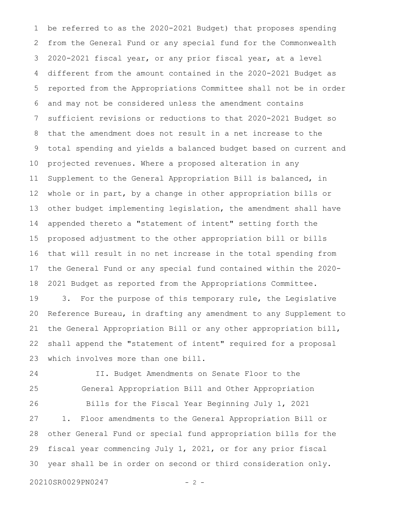be referred to as the 2020-2021 Budget) that proposes spending from the General Fund or any special fund for the Commonwealth 2020-2021 fiscal year, or any prior fiscal year, at a level different from the amount contained in the 2020-2021 Budget as reported from the Appropriations Committee shall not be in order and may not be considered unless the amendment contains sufficient revisions or reductions to that 2020-2021 Budget so that the amendment does not result in a net increase to the total spending and yields a balanced budget based on current and projected revenues. Where a proposed alteration in any Supplement to the General Appropriation Bill is balanced, in whole or in part, by a change in other appropriation bills or other budget implementing legislation, the amendment shall have appended thereto a "statement of intent" setting forth the proposed adjustment to the other appropriation bill or bills that will result in no net increase in the total spending from the General Fund or any special fund contained within the 2020- 2021 Budget as reported from the Appropriations Committee. 3. For the purpose of this temporary rule, the Legislative Reference Bureau, in drafting any amendment to any Supplement to the General Appropriation Bill or any other appropriation bill, shall append the "statement of intent" required for a proposal which involves more than one bill. 1 2 3 4 5 6 7 8 9 10 11 12 13 14 15 16 17 18 19 20 21 22 23

24 25

II. Budget Amendments on Senate Floor to the General Appropriation Bill and Other Appropriation

Bills for the Fiscal Year Beginning July 1, 2021 1. Floor amendments to the General Appropriation Bill or other General Fund or special fund appropriation bills for the fiscal year commencing July 1, 2021, or for any prior fiscal year shall be in order on second or third consideration only. 26 27 28 29 30

20210SR0029PN0247 - 2 -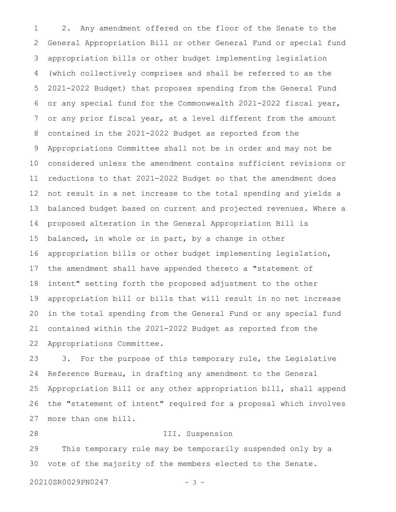2. Any amendment offered on the floor of the Senate to the General Appropriation Bill or other General Fund or special fund appropriation bills or other budget implementing legislation (which collectively comprises and shall be referred to as the 2021-2022 Budget) that proposes spending from the General Fund or any special fund for the Commonwealth 2021-2022 fiscal year, or any prior fiscal year, at a level different from the amount contained in the 2021-2022 Budget as reported from the Appropriations Committee shall not be in order and may not be considered unless the amendment contains sufficient revisions or reductions to that 2021-2022 Budget so that the amendment does not result in a net increase to the total spending and yields a balanced budget based on current and projected revenues. Where a proposed alteration in the General Appropriation Bill is balanced, in whole or in part, by a change in other appropriation bills or other budget implementing legislation, the amendment shall have appended thereto a "statement of intent" setting forth the proposed adjustment to the other appropriation bill or bills that will result in no net increase in the total spending from the General Fund or any special fund contained within the 2021-2022 Budget as reported from the Appropriations Committee. 1 2 3 4 5 6 7 8 9 10 11 12 13 14 15 16 17 18 19 20 21 22

3. For the purpose of this temporary rule, the Legislative Reference Bureau, in drafting any amendment to the General Appropriation Bill or any other appropriation bill, shall append the "statement of intent" required for a proposal which involves more than one bill. 23 24 25 26 27

III. Suspension This temporary rule may be temporarily suspended only by a vote of the majority of the members elected to the Senate. 28 29 30

20210SR0029PN0247 - 3 -